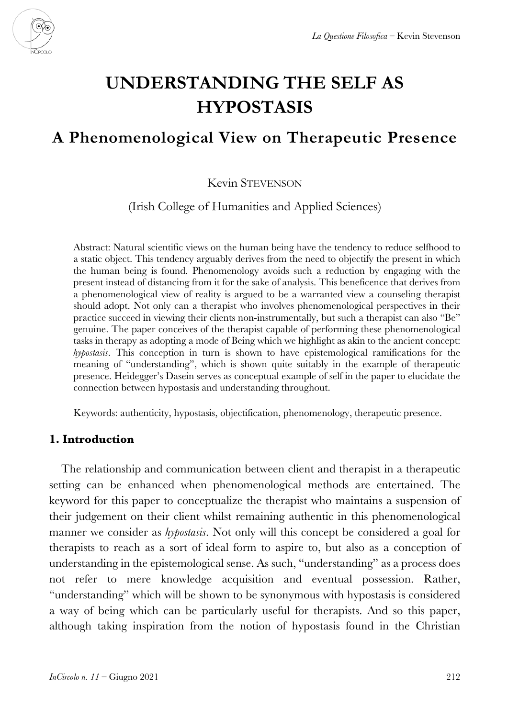

# **UNDERSTANDING THE SELF AS HYPOSTASIS**

# **A Phenomenological View on Therapeutic Presence**

#### Kevin STEVENSON

(Irish College of Humanities and Applied Sciences)

Abstract: Natural scientific views on the human being have the tendency to reduce selfhood to a static object. This tendency arguably derives from the need to objectify the present in which the human being is found. Phenomenology avoids such a reduction by engaging with the present instead of distancing from it for the sake of analysis. This beneficence that derives from a phenomenological view of reality is argued to be a warranted view a counseling therapist should adopt. Not only can a therapist who involves phenomenological perspectives in their practice succeed in viewing their clients non-instrumentally, but such a therapist can also "Be" genuine. The paper conceives of the therapist capable of performing these phenomenological tasks in therapy as adopting a mode of Being which we highlight as akin to the ancient concept: *hypostasis*. This conception in turn is shown to have epistemological ramifications for the meaning of "understanding", which is shown quite suitably in the example of therapeutic presence. Heidegger's Dasein serves as conceptual example of self in the paper to elucidate the connection between hypostasis and understanding throughout.

Keywords: authenticity, hypostasis, objectification, phenomenology, therapeutic presence.

#### **1. Introduction**

The relationship and communication between client and therapist in a therapeutic setting can be enhanced when phenomenological methods are entertained. The keyword for this paper to conceptualize the therapist who maintains a suspension of their judgement on their client whilst remaining authentic in this phenomenological manner we consider as *hypostasis*. Not only will this concept be considered a goal for therapists to reach as a sort of ideal form to aspire to, but also as a conception of understanding in the epistemological sense. As such, "understanding" as a process does not refer to mere knowledge acquisition and eventual possession. Rather, "understanding" which will be shown to be synonymous with hypostasis is considered a way of being which can be particularly useful for therapists. And so this paper, although taking inspiration from the notion of hypostasis found in the Christian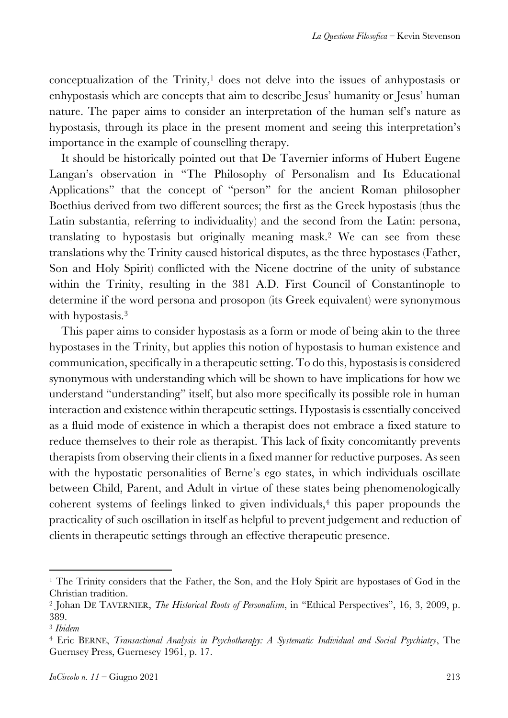conceptualization of the  $Trinity$ ,<sup>1</sup> does not delve into the issues of anhypostasis or enhypostasis which are concepts that aim to describe Jesus' humanity or Jesus' human nature. The paper aims to consider an interpretation of the human self's nature as hypostasis, through its place in the present moment and seeing this interpretation's importance in the example of counselling therapy.

It should be historically pointed out that De Tavernier informs of Hubert Eugene Langan's observation in "The Philosophy of Personalism and Its Educational Applications" that the concept of "person" for the ancient Roman philosopher Boethius derived from two different sources; the first as the Greek hypostasis (thus the Latin substantia, referring to individuality) and the second from the Latin: persona, translating to hypostasis but originally meaning mask.2 We can see from these translations why the Trinity caused historical disputes, as the three hypostases (Father, Son and Holy Spirit) conflicted with the Nicene doctrine of the unity of substance within the Trinity, resulting in the 381 A.D. First Council of Constantinople to determine if the word persona and prosopon (its Greek equivalent) were synonymous with hypostasis.<sup>3</sup>

This paper aims to consider hypostasis as a form or mode of being akin to the three hypostases in the Trinity, but applies this notion of hypostasis to human existence and communication, specifically in a therapeutic setting. To do this, hypostasis is considered synonymous with understanding which will be shown to have implications for how we understand "understanding" itself, but also more specifically its possible role in human interaction and existence within therapeutic settings. Hypostasis is essentially conceived as a fluid mode of existence in which a therapist does not embrace a fixed stature to reduce themselves to their role as therapist. This lack of fixity concomitantly prevents therapists from observing their clients in a fixed manner for reductive purposes. As seen with the hypostatic personalities of Berne's ego states, in which individuals oscillate between Child, Parent, and Adult in virtue of these states being phenomenologically coherent systems of feelings linked to given individuals, $4$  this paper propounds the practicality of such oscillation in itself as helpful to prevent judgement and reduction of clients in therapeutic settings through an effective therapeutic presence.

<sup>&</sup>lt;sup>1</sup> The Trinity considers that the Father, the Son, and the Holy Spirit are hypostases of God in the Christian tradition.

<sup>2</sup> Johan DE TAVERNIER, *The Historical Roots of Personalism*, in "Ethical Perspectives", 16, 3, 2009, p. 389.

<sup>3</sup> *Ibidem*

<sup>4</sup> Eric BERNE, *Transactional Analysis in Psychotherapy: A Systematic Individual and Social Psychiatry*, The Guernsey Press, Guernesey 1961, p. 17.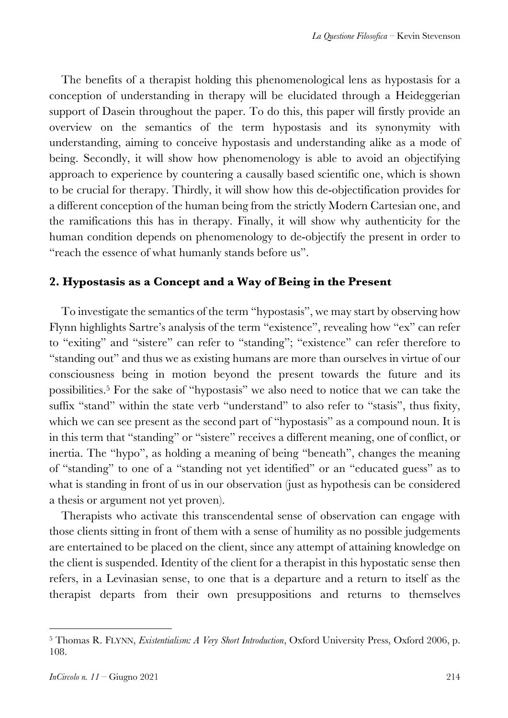The benefits of a therapist holding this phenomenological lens as hypostasis for a conception of understanding in therapy will be elucidated through a Heideggerian support of Dasein throughout the paper. To do this, this paper will firstly provide an overview on the semantics of the term hypostasis and its synonymity with understanding, aiming to conceive hypostasis and understanding alike as a mode of being. Secondly, it will show how phenomenology is able to avoid an objectifying approach to experience by countering a causally based scientific one, which is shown to be crucial for therapy. Thirdly, it will show how this de-objectification provides for a different conception of the human being from the strictly Modern Cartesian one, and the ramifications this has in therapy. Finally, it will show why authenticity for the human condition depends on phenomenology to de-objectify the present in order to "reach the essence of what humanly stands before us".

# **2. Hypostasis as a Concept and a Way of Being in the Present**

To investigate the semantics of the term "hypostasis", we may start by observing how Flynn highlights Sartre's analysis of the term "existence", revealing how "ex" can refer to "exiting" and "sistere" can refer to "standing"; "existence" can refer therefore to "standing out" and thus we as existing humans are more than ourselves in virtue of our consciousness being in motion beyond the present towards the future and its possibilities.5 For the sake of "hypostasis" we also need to notice that we can take the suffix "stand" within the state verb "understand" to also refer to "stasis", thus fixity, which we can see present as the second part of "hypostasis" as a compound noun. It is in this term that "standing" or "sistere" receives a different meaning, one of conflict, or inertia. The "hypo", as holding a meaning of being "beneath", changes the meaning of "standing" to one of a "standing not yet identified" or an "educated guess" as to what is standing in front of us in our observation (just as hypothesis can be considered a thesis or argument not yet proven).

Therapists who activate this transcendental sense of observation can engage with those clients sitting in front of them with a sense of humility as no possible judgements are entertained to be placed on the client, since any attempt of attaining knowledge on the client is suspended. Identity of the client for a therapist in this hypostatic sense then refers, in a Levinasian sense, to one that is a departure and a return to itself as the therapist departs from their own presuppositions and returns to themselves

<sup>5</sup> Thomas R. FLYNN, *Existentialism: A Very Short Introduction*, Oxford University Press, Oxford 2006, p. 108.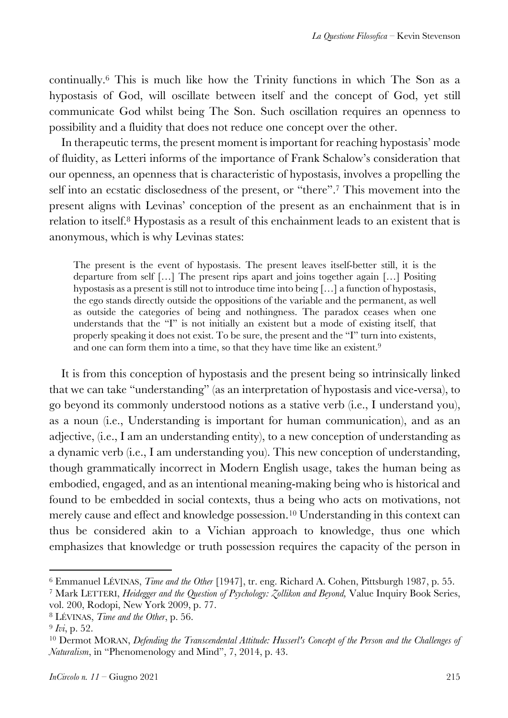continually.6 This is much like how the Trinity functions in which The Son as a hypostasis of God, will oscillate between itself and the concept of God, yet still communicate God whilst being The Son. Such oscillation requires an openness to possibility and a fluidity that does not reduce one concept over the other.

In therapeutic terms, the present moment is important for reaching hypostasis' mode of fluidity, as Letteri informs of the importance of Frank Schalow's consideration that our openness, an openness that is characteristic of hypostasis, involves a propelling the self into an ecstatic disclosedness of the present, or "there".7 This movement into the present aligns with Levinas' conception of the present as an enchainment that is in relation to itself.8 Hypostasis as a result of this enchainment leads to an existent that is anonymous, which is why Levinas states:

The present is the event of hypostasis. The present leaves itself-better still, it is the departure from self […] The present rips apart and joins together again […] Positing hypostasis as a present is still not to introduce time into being […] a function of hypostasis, the ego stands directly outside the oppositions of the variable and the permanent, as well as outside the categories of being and nothingness. The paradox ceases when one understands that the "I" is not initially an existent but a mode of existing itself, that properly speaking it does not exist. To be sure, the present and the "I" turn into existents, and one can form them into a time, so that they have time like an existent.<sup>9</sup>

It is from this conception of hypostasis and the present being so intrinsically linked that we can take "understanding" (as an interpretation of hypostasis and vice-versa), to go beyond its commonly understood notions as a stative verb (i.e., I understand you), as a noun (i.e., Understanding is important for human communication), and as an adjective, (i.e., I am an understanding entity), to a new conception of understanding as a dynamic verb (i.e., I am understanding you). This new conception of understanding, though grammatically incorrect in Modern English usage, takes the human being as embodied, engaged, and as an intentional meaning-making being who is historical and found to be embedded in social contexts, thus a being who acts on motivations, not merely cause and effect and knowledge possession.<sup>10</sup> Understanding in this context can thus be considered akin to a Vichian approach to knowledge, thus one which emphasizes that knowledge or truth possession requires the capacity of the person in

<sup>6</sup> Emmanuel LÉVINAS, *Time and the Other* [1947], tr. eng. Richard A. Cohen, Pittsburgh 1987, p. 55.

<sup>7</sup> Mark LETTERI, *Heidegger and the Question of Psychology: Zollikon and Beyond,* Value Inquiry Book Series, vol. 200, Rodopi, New York 2009, p. 77.

<sup>8</sup> LÉVINAS, *Time and the Other*, p. 56.

<sup>9</sup> *Ivi*, p. 52.

<sup>10</sup> Dermot MORAN, *Defending the Transcendental Attitude: Husserl's Concept of the Person and the Challenges of Naturalism*, in "Phenomenology and Mind", 7, 2014, p. 43.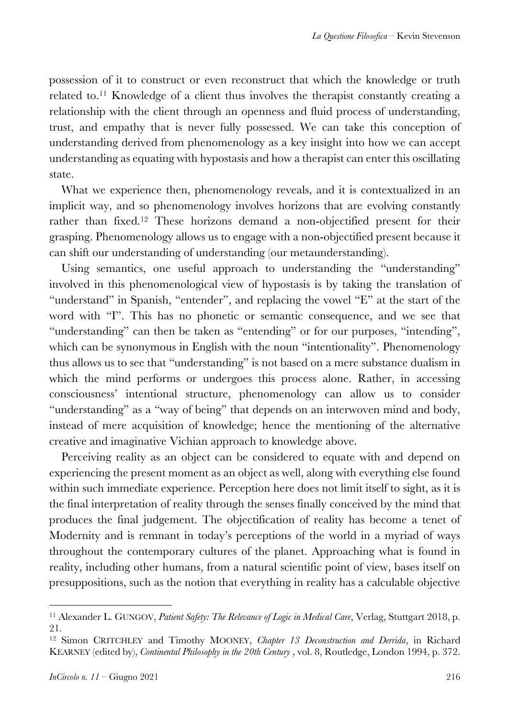possession of it to construct or even reconstruct that which the knowledge or truth related to.11 Knowledge of a client thus involves the therapist constantly creating a relationship with the client through an openness and fluid process of understanding, trust, and empathy that is never fully possessed. We can take this conception of understanding derived from phenomenology as a key insight into how we can accept understanding as equating with hypostasis and how a therapist can enter this oscillating state.

What we experience then, phenomenology reveals, and it is contextualized in an implicit way, and so phenomenology involves horizons that are evolving constantly rather than fixed.12 These horizons demand a non-objectified present for their grasping. Phenomenology allows us to engage with a non-objectified present because it can shift our understanding of understanding (our metaunderstanding).

Using semantics, one useful approach to understanding the "understanding" involved in this phenomenological view of hypostasis is by taking the translation of "understand" in Spanish, "entender", and replacing the vowel "E" at the start of the word with "I". This has no phonetic or semantic consequence, and we see that "understanding" can then be taken as "entending" or for our purposes, "intending", which can be synonymous in English with the noun "intentionality". Phenomenology thus allows us to see that "understanding" is not based on a mere substance dualism in which the mind performs or undergoes this process alone. Rather, in accessing consciousness' intentional structure, phenomenology can allow us to consider "understanding" as a "way of being" that depends on an interwoven mind and body, instead of mere acquisition of knowledge; hence the mentioning of the alternative creative and imaginative Vichian approach to knowledge above.

Perceiving reality as an object can be considered to equate with and depend on experiencing the present moment as an object as well, along with everything else found within such immediate experience. Perception here does not limit itself to sight, as it is the final interpretation of reality through the senses finally conceived by the mind that produces the final judgement. The objectification of reality has become a tenet of Modernity and is remnant in today's perceptions of the world in a myriad of ways throughout the contemporary cultures of the planet. Approaching what is found in reality, including other humans, from a natural scientific point of view, bases itself on presuppositions, such as the notion that everything in reality has a calculable objective

<sup>&</sup>lt;sup>11</sup> Alexander L. GUNGOV, *Patient Safety: The Relevance of Logic in Medical Care*, Verlag, Stuttgart 2018, p. 21.

<sup>12</sup> Simon CRITCHLEY and Timothy MOONEY, *Chapter 13 Deconstruction and Derrida*, in Richard KEARNEY (edited by), *Continental Philosophy in the 20th Century* , vol. 8, Routledge, London 1994, p. 372.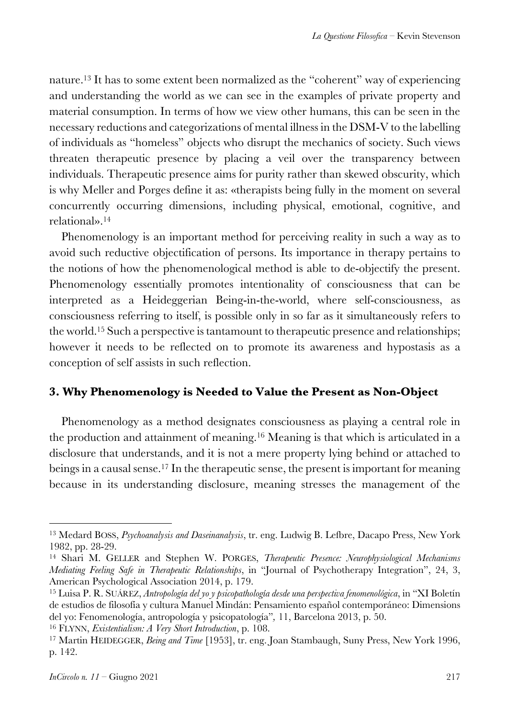nature.13 It has to some extent been normalized as the "coherent" way of experiencing and understanding the world as we can see in the examples of private property and material consumption. In terms of how we view other humans, this can be seen in the necessary reductions and categorizations of mental illness in the DSM-V to the labelling of individuals as "homeless" objects who disrupt the mechanics of society. Such views threaten therapeutic presence by placing a veil over the transparency between individuals. Therapeutic presence aims for purity rather than skewed obscurity, which is why Meller and Porges define it as: «therapists being fully in the moment on several concurrently occurring dimensions, including physical, emotional, cognitive, and relational».14

Phenomenology is an important method for perceiving reality in such a way as to avoid such reductive objectification of persons. Its importance in therapy pertains to the notions of how the phenomenological method is able to de-objectify the present. Phenomenology essentially promotes intentionality of consciousness that can be interpreted as a Heideggerian Being-in-the-world, where self-consciousness, as consciousness referring to itself, is possible only in so far as it simultaneously refers to the world.15 Such a perspective is tantamount to therapeutic presence and relationships; however it needs to be reflected on to promote its awareness and hypostasis as a conception of self assists in such reflection.

#### **3. Why Phenomenology is Needed to Value the Present as Non-Object**

Phenomenology as a method designates consciousness as playing a central role in the production and attainment of meaning.16 Meaning is that which is articulated in a disclosure that understands, and it is not a mere property lying behind or attached to beings in a causal sense.17 In the therapeutic sense, the present is important for meaning because in its understanding disclosure, meaning stresses the management of the

<sup>13</sup> Medard BOSS, *Psychoanalysis and Daseinanalysis*, tr. eng. Ludwig B. Lefbre, Dacapo Press, New York 1982, pp. 28-29.

<sup>14</sup> Shari M. GELLER and Stephen W. PORGES, *Therapeutic Presence: Neurophysiological Mechanisms Mediating Feeling Safe in Therapeutic Relationships*, in "Journal of Psychotherapy Integration", 24, 3, American Psychological Association 2014, p. 179.

<sup>15</sup> Luisa P. R. SUÁREZ, *Antropología del yo y psicopathología desde una perspectiva fenomenológica*, in "XI Boletín de estudios de filosofía y cultura Manuel Mindán: Pensamiento español contemporáneo: Dimensions del yo: Fenomenología, antropología y psicopatología"*,* 11, Barcelona 2013, p. 50.

<sup>16</sup> FLYNN, *Existentialism: A Very Short Introduction*, p. 108.

<sup>17</sup> Martin HEIDEGGER, *Being and Time* [1953], tr. eng. Joan Stambaugh, Suny Press, New York 1996, p. 142.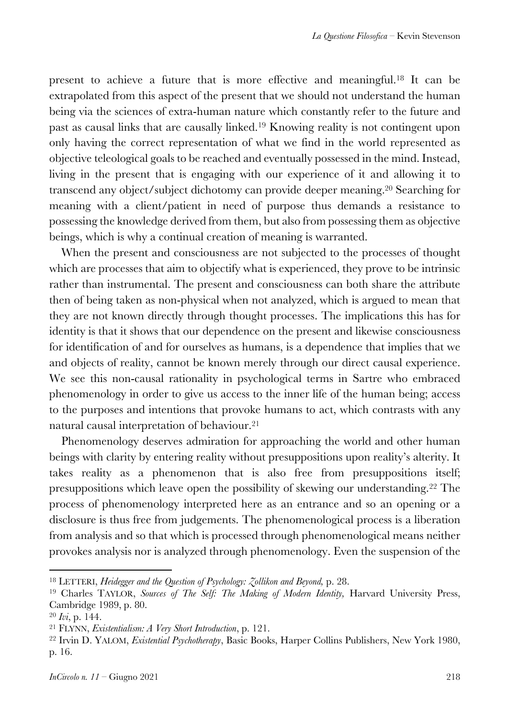present to achieve a future that is more effective and meaningful.18 It can be extrapolated from this aspect of the present that we should not understand the human being via the sciences of extra-human nature which constantly refer to the future and past as causal links that are causally linked.19 Knowing reality is not contingent upon only having the correct representation of what we find in the world represented as objective teleological goals to be reached and eventually possessed in the mind. Instead, living in the present that is engaging with our experience of it and allowing it to transcend any object/subject dichotomy can provide deeper meaning.20 Searching for meaning with a client/patient in need of purpose thus demands a resistance to possessing the knowledge derived from them, but also from possessing them as objective beings, which is why a continual creation of meaning is warranted.

When the present and consciousness are not subjected to the processes of thought which are processes that aim to objectify what is experienced, they prove to be intrinsic rather than instrumental. The present and consciousness can both share the attribute then of being taken as non-physical when not analyzed, which is argued to mean that they are not known directly through thought processes. The implications this has for identity is that it shows that our dependence on the present and likewise consciousness for identification of and for ourselves as humans, is a dependence that implies that we and objects of reality, cannot be known merely through our direct causal experience. We see this non-causal rationality in psychological terms in Sartre who embraced phenomenology in order to give us access to the inner life of the human being; access to the purposes and intentions that provoke humans to act, which contrasts with any natural causal interpretation of behaviour.21

Phenomenology deserves admiration for approaching the world and other human beings with clarity by entering reality without presuppositions upon reality's alterity. It takes reality as a phenomenon that is also free from presuppositions itself; presuppositions which leave open the possibility of skewing our understanding.22 The process of phenomenology interpreted here as an entrance and so an opening or a disclosure is thus free from judgements. The phenomenological process is a liberation from analysis and so that which is processed through phenomenological means neither provokes analysis nor is analyzed through phenomenology. Even the suspension of the

<sup>18</sup> LETTERI, *Heidegger and the Question of Psychology: Zollikon and Beyond,* p. 28.

<sup>&</sup>lt;sup>19</sup> Charles TAYLOR, *Sources of The Self: The Making of Modern Identity*, Harvard University Press, Cambridge 1989, p. 80.

<sup>20</sup> *Ivi*, p. 144.

<sup>21</sup> FLYNN, *Existentialism: A Very Short Introduction*, p. 121.

<sup>22</sup> Irvin D. YALOM, *Existential Psychotherapy*, Basic Books, Harper Collins Publishers, New York 1980, p. 16.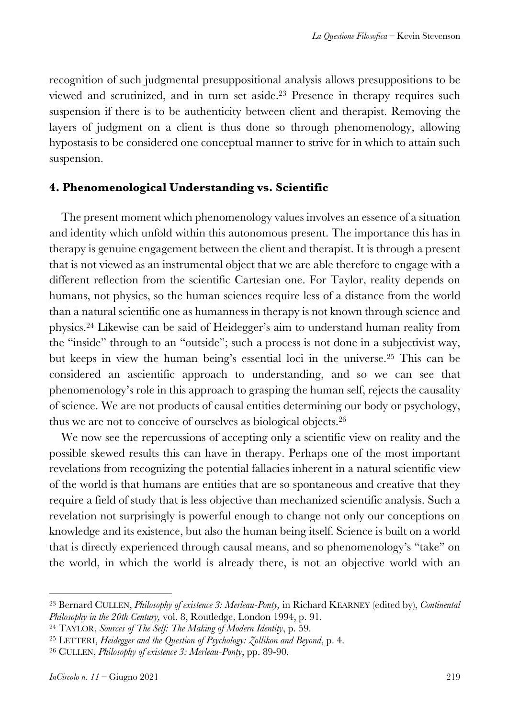recognition of such judgmental presuppositional analysis allows presuppositions to be viewed and scrutinized, and in turn set aside.23 Presence in therapy requires such suspension if there is to be authenticity between client and therapist. Removing the layers of judgment on a client is thus done so through phenomenology, allowing hypostasis to be considered one conceptual manner to strive for in which to attain such suspension.

#### **4. Phenomenological Understanding vs. Scientific**

The present moment which phenomenology values involves an essence of a situation and identity which unfold within this autonomous present. The importance this has in therapy is genuine engagement between the client and therapist. It is through a present that is not viewed as an instrumental object that we are able therefore to engage with a different reflection from the scientific Cartesian one. For Taylor, reality depends on humans, not physics, so the human sciences require less of a distance from the world than a natural scientific one as humanness in therapy is not known through science and physics.24 Likewise can be said of Heidegger's aim to understand human reality from the "inside" through to an "outside"; such a process is not done in a subjectivist way, but keeps in view the human being's essential loci in the universe.25 This can be considered an ascientific approach to understanding, and so we can see that phenomenology's role in this approach to grasping the human self, rejects the causality of science. We are not products of causal entities determining our body or psychology, thus we are not to conceive of ourselves as biological objects.26

We now see the repercussions of accepting only a scientific view on reality and the possible skewed results this can have in therapy. Perhaps one of the most important revelations from recognizing the potential fallacies inherent in a natural scientific view of the world is that humans are entities that are so spontaneous and creative that they require a field of study that is less objective than mechanized scientific analysis. Such a revelation not surprisingly is powerful enough to change not only our conceptions on knowledge and its existence, but also the human being itself. Science is built on a world that is directly experienced through causal means, and so phenomenology's "take" on the world, in which the world is already there, is not an objective world with an

<sup>23</sup> Bernard CULLEN, *Philosophy of existence 3: Merleau-Ponty,* in Richard KEARNEY (edited by), *Continental Philosophy in the 20th Century,* vol. 8, Routledge, London 1994, p. 91.

<sup>24</sup> TAYLOR, *Sources of The Self: The Making of Modern Identity*, p. 59.

<sup>25</sup> LETTERI, *Heidegger and the Question of Psychology: Zollikon and Beyond*, p. 4.

<sup>26</sup> CULLEN, *Philosophy of existence 3: Merleau-Ponty*, pp. 89-90.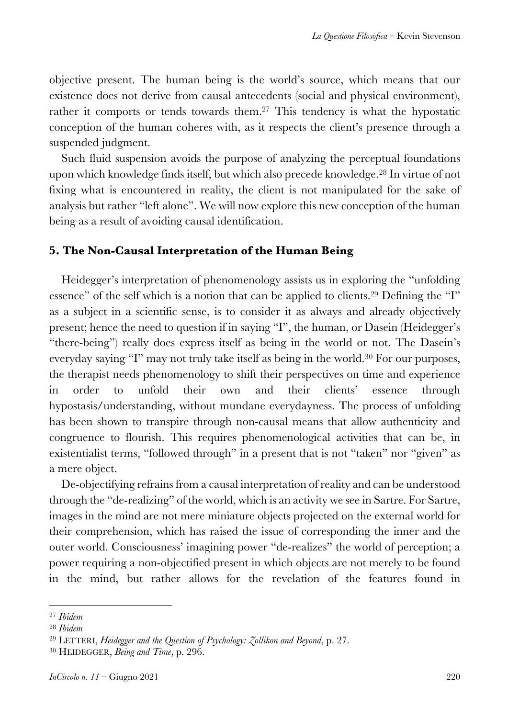objective present. The human being is the world's source, which means that our existence does not derive from causal antecedents (social and physical environment), rather it comports or tends towards them.<sup>27</sup> This tendency is what the hypostatic conception of the human coheres with, as it respects the client's presence through a suspended judgment.

Such fluid suspension avoids the purpose of analyzing the perceptual foundations upon which knowledge finds itself, but which also precede knowledge.28 In virtue of not fixing what is encountered in reality, the client is not manipulated for the sake of analysis but rather "left alone". We will now explore this new conception of the human being as a result of avoiding causal identification.

#### **5. The Non-Causal Interpretation of the Human Being**

Heidegger's interpretation of phenomenology assists us in exploring the "unfolding essence" of the self which is a notion that can be applied to clients.<sup>29</sup> Defining the "I" as a subject in a scientific sense, is to consider it as always and already objectively present; hence the need to question if in saying "I", the human, or Dasein (Heidegger's "there-being") really does express itself as being in the world or not. The Dasein's everyday saying "I" may not truly take itself as being in the world.<sup>30</sup> For our purposes, the therapist needs phenomenology to shift their perspectives on time and experience in order to unfold their own and their clients' essence through hypostasis/understanding, without mundane everydayness. The process of unfolding has been shown to transpire through non-causal means that allow authenticity and congruence to flourish. This requires phenomenological activities that can be, in existentialist terms, "followed through" in a present that is not "taken" nor "given" as a mere object.

De-objectifying refrains from a causal interpretation of reality and can be understood through the "de-realizing" of the world, which is an activity we see in Sartre. For Sartre, images in the mind are not mere miniature objects projected on the external world for their comprehension, which has raised the issue of corresponding the inner and the outer world. Consciousness' imagining power "de-realizes" the world of perception; a power requiring a non-objectified present in which objects are not merely to be found in the mind, but rather allows for the revelation of the features found in

<sup>27</sup> *Ibidem*

<sup>28</sup> *Ibidem*

<sup>29</sup> LETTERI, *Heidegger and the Question of Psychology: Zollikon and Beyond*, p. 27.

<sup>30</sup> HEIDEGGER, *Being and Time*, p. 296.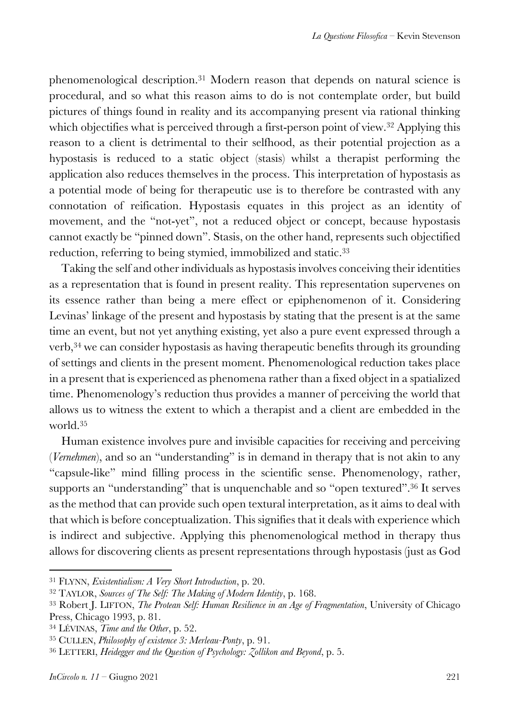phenomenological description.31 Modern reason that depends on natural science is procedural, and so what this reason aims to do is not contemplate order, but build pictures of things found in reality and its accompanying present via rational thinking which objectifies what is perceived through a first-person point of view.<sup>32</sup> Applying this reason to a client is detrimental to their selfhood, as their potential projection as a hypostasis is reduced to a static object (stasis) whilst a therapist performing the application also reduces themselves in the process. This interpretation of hypostasis as a potential mode of being for therapeutic use is to therefore be contrasted with any connotation of reification. Hypostasis equates in this project as an identity of movement, and the "not-yet", not a reduced object or concept, because hypostasis cannot exactly be "pinned down". Stasis, on the other hand, represents such objectified reduction, referring to being stymied, immobilized and static.<sup>33</sup>

Taking the self and other individuals as hypostasis involves conceiving their identities as a representation that is found in present reality. This representation supervenes on its essence rather than being a mere effect or epiphenomenon of it. Considering Levinas' linkage of the present and hypostasis by stating that the present is at the same time an event, but not yet anything existing, yet also a pure event expressed through a verb,34 we can consider hypostasis as having therapeutic benefits through its grounding of settings and clients in the present moment. Phenomenological reduction takes place in a present that is experienced as phenomena rather than a fixed object in a spatialized time. Phenomenology's reduction thus provides a manner of perceiving the world that allows us to witness the extent to which a therapist and a client are embedded in the world.35

Human existence involves pure and invisible capacities for receiving and perceiving (*Vernehmen*), and so an "understanding" is in demand in therapy that is not akin to any "capsule-like" mind filling process in the scientific sense. Phenomenology, rather, supports an "understanding" that is unquenchable and so "open textured".<sup>36</sup> It serves as the method that can provide such open textural interpretation, as it aims to deal with that which is before conceptualization. This signifies that it deals with experience which is indirect and subjective. Applying this phenomenological method in therapy thus allows for discovering clients as present representations through hypostasis (just as God

<sup>31</sup> FLYNN, *Existentialism: A Very Short Introduction*, p. 20.

<sup>32</sup> TAYLOR, *Sources of The Self: The Making of Modern Identity*, p. 168.

<sup>33</sup> Robert J. LIFTON, *The Protean Self: Human Resilience in an Age of Fragmentation*, University of Chicago Press, Chicago 1993, p. 81.

<sup>34</sup> LÉVINAS, *Time and the Other*, p. 52.

<sup>35</sup> CULLEN, *Philosophy of existence 3: Merleau-Ponty*, p. 91.

<sup>36</sup> LETTERI, *Heidegger and the Question of Psychology: Zollikon and Beyond*, p. 5.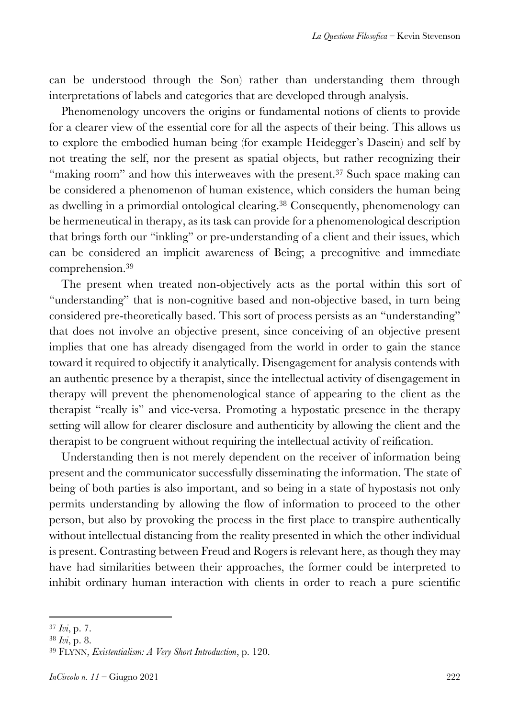can be understood through the Son) rather than understanding them through interpretations of labels and categories that are developed through analysis.

Phenomenology uncovers the origins or fundamental notions of clients to provide for a clearer view of the essential core for all the aspects of their being. This allows us to explore the embodied human being (for example Heidegger's Dasein) and self by not treating the self, nor the present as spatial objects, but rather recognizing their "making room" and how this interweaves with the present.<sup>37</sup> Such space making can be considered a phenomenon of human existence, which considers the human being as dwelling in a primordial ontological clearing.38 Consequently, phenomenology can be hermeneutical in therapy, as its task can provide for a phenomenological description that brings forth our "inkling" or pre-understanding of a client and their issues, which can be considered an implicit awareness of Being; a precognitive and immediate comprehension.39

The present when treated non-objectively acts as the portal within this sort of "understanding" that is non-cognitive based and non-objective based, in turn being considered pre-theoretically based. This sort of process persists as an "understanding" that does not involve an objective present, since conceiving of an objective present implies that one has already disengaged from the world in order to gain the stance toward it required to objectify it analytically. Disengagement for analysis contends with an authentic presence by a therapist, since the intellectual activity of disengagement in therapy will prevent the phenomenological stance of appearing to the client as the therapist "really is" and vice-versa. Promoting a hypostatic presence in the therapy setting will allow for clearer disclosure and authenticity by allowing the client and the therapist to be congruent without requiring the intellectual activity of reification.

Understanding then is not merely dependent on the receiver of information being present and the communicator successfully disseminating the information. The state of being of both parties is also important, and so being in a state of hypostasis not only permits understanding by allowing the flow of information to proceed to the other person, but also by provoking the process in the first place to transpire authentically without intellectual distancing from the reality presented in which the other individual is present. Contrasting between Freud and Rogers is relevant here, as though they may have had similarities between their approaches, the former could be interpreted to inhibit ordinary human interaction with clients in order to reach a pure scientific

<sup>37</sup> *Ivi*, p. 7.

<sup>38</sup> *Ivi*, p. 8.

<sup>39</sup> FLYNN, *Existentialism: A Very Short Introduction*, p. 120.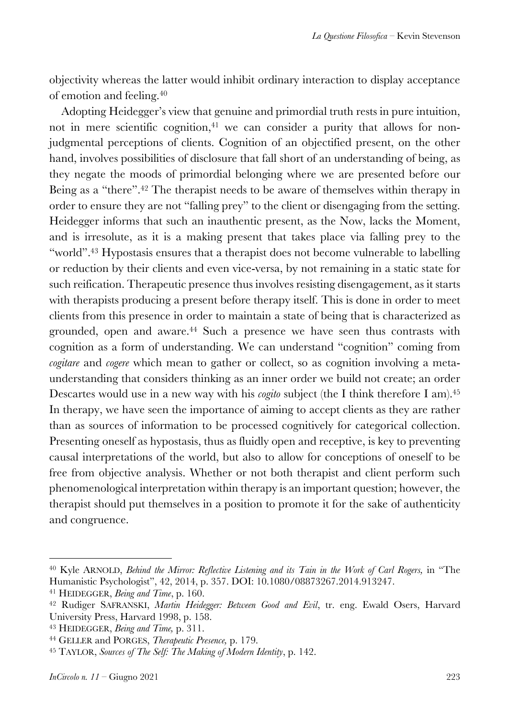objectivity whereas the latter would inhibit ordinary interaction to display acceptance of emotion and feeling.40

Adopting Heidegger's view that genuine and primordial truth rests in pure intuition, not in mere scientific cognition,<sup>41</sup> we can consider a purity that allows for nonjudgmental perceptions of clients. Cognition of an objectified present, on the other hand, involves possibilities of disclosure that fall short of an understanding of being, as they negate the moods of primordial belonging where we are presented before our Being as a "there".42 The therapist needs to be aware of themselves within therapy in order to ensure they are not "falling prey" to the client or disengaging from the setting. Heidegger informs that such an inauthentic present, as the Now, lacks the Moment, and is irresolute, as it is a making present that takes place via falling prey to the "world".43 Hypostasis ensures that a therapist does not become vulnerable to labelling or reduction by their clients and even vice-versa, by not remaining in a static state for such reification. Therapeutic presence thus involves resisting disengagement, as it starts with therapists producing a present before therapy itself. This is done in order to meet clients from this presence in order to maintain a state of being that is characterized as grounded, open and aware.<sup>44</sup> Such a presence we have seen thus contrasts with cognition as a form of understanding. We can understand "cognition" coming from *cogitare* and *cogere* which mean to gather or collect, so as cognition involving a metaunderstanding that considers thinking as an inner order we build not create; an order Descartes would use in a new way with his *cogito* subject (the I think therefore I am).<sup>45</sup> In therapy, we have seen the importance of aiming to accept clients as they are rather than as sources of information to be processed cognitively for categorical collection. Presenting oneself as hypostasis, thus as fluidly open and receptive, is key to preventing causal interpretations of the world, but also to allow for conceptions of oneself to be free from objective analysis. Whether or not both therapist and client perform such phenomenological interpretation within therapy is an important question; however, the therapist should put themselves in a position to promote it for the sake of authenticity and congruence.

<sup>40</sup> Kyle ARNOLD, *Behind the Mirror: Reflective Listening and its Tain in the Work of Carl Rogers,* in "The Humanistic Psychologist", 42, 2014, p. 357. DOI: 10.1080/08873267.2014.913247.

<sup>41</sup> HEIDEGGER, *Being and Time*, p. 160.

<sup>42</sup> Rudiger SAFRANSKI, *Martin Heidegger: Between Good and Evil*, tr. eng. Ewald Osers, Harvard University Press, Harvard 1998, p. 158.

<sup>43</sup> HEIDEGGER, *Being and Time,* p. 311.

<sup>44</sup> GELLER and PORGES, *Therapeutic Presence,* p. 179.

<sup>45</sup> TAYLOR, *Sources of The Self: The Making of Modern Identity*, p. 142.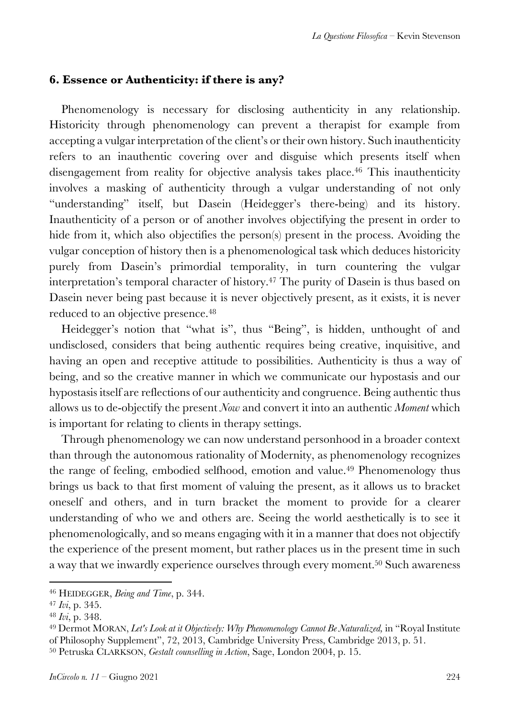#### **6. Essence or Authenticity: if there is any?**

Phenomenology is necessary for disclosing authenticity in any relationship. Historicity through phenomenology can prevent a therapist for example from accepting a vulgar interpretation of the client's or their own history. Such inauthenticity refers to an inauthentic covering over and disguise which presents itself when disengagement from reality for objective analysis takes place.<sup>46</sup> This inauthenticity involves a masking of authenticity through a vulgar understanding of not only "understanding" itself, but Dasein (Heidegger's there-being) and its history. Inauthenticity of a person or of another involves objectifying the present in order to hide from it, which also objectifies the person(s) present in the process. Avoiding the vulgar conception of history then is a phenomenological task which deduces historicity purely from Dasein's primordial temporality, in turn countering the vulgar interpretation's temporal character of history.47 The purity of Dasein is thus based on Dasein never being past because it is never objectively present, as it exists, it is never reduced to an objective presence.<sup>48</sup>

Heidegger's notion that "what is", thus "Being", is hidden, unthought of and undisclosed, considers that being authentic requires being creative, inquisitive, and having an open and receptive attitude to possibilities. Authenticity is thus a way of being, and so the creative manner in which we communicate our hypostasis and our hypostasis itself are reflections of our authenticity and congruence. Being authentic thus allows us to de-objectify the present *Now* and convert it into an authentic *Moment* which is important for relating to clients in therapy settings.

Through phenomenology we can now understand personhood in a broader context than through the autonomous rationality of Modernity, as phenomenology recognizes the range of feeling, embodied selfhood, emotion and value.49 Phenomenology thus brings us back to that first moment of valuing the present, as it allows us to bracket oneself and others, and in turn bracket the moment to provide for a clearer understanding of who we and others are. Seeing the world aesthetically is to see it phenomenologically, and so means engaging with it in a manner that does not objectify the experience of the present moment, but rather places us in the present time in such a way that we inwardly experience ourselves through every moment.<sup>50</sup> Such awareness

<sup>46</sup> HEIDEGGER, *Being and Time*, p. 344.

<sup>47</sup> *Ivi*, p. 345.

<sup>48</sup> *Ivi*, p. 348.

<sup>49</sup> Dermot MORAN, *Let's Look at it Objectively: Why Phenomenology Cannot Be Naturalized,* in "Royal Institute of Philosophy Supplement", 72, 2013, Cambridge University Press, Cambridge 2013, p. 51.

<sup>50</sup> Petruska CLARKSON, *Gestalt counselling in Action*, Sage, London 2004, p. 15.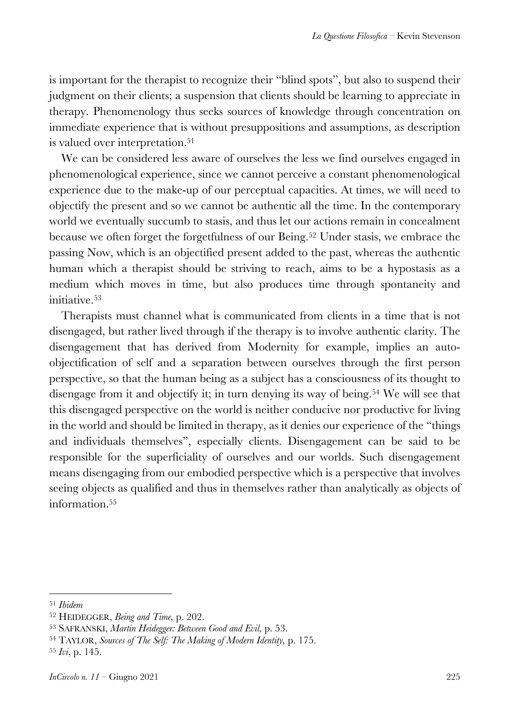is important for the therapist to recognize their "blind spots", but also to suspend their judgment on their clients; a suspension that clients should be learning to appreciate in therapy. Phenomenology thus seeks sources of knowledge through concentration on immediate experience that is without presuppositions and assumptions, as description is valued over interpretation.<sup>51</sup>

We can be considered less aware of ourselves the less we find ourselves engaged in phenomenological experience, since we cannot perceive a constant phenomenological experience due to the make-up of our perceptual capacities. At times, we will need to objectify the present and so we cannot be authentic all the time. In the contemporary world we eventually succumb to stasis, and thus let our actions remain in concealment because we often forget the forgetfulness of our Being.<sup>52</sup> Under stasis, we embrace the passing Now, which is an objectified present added to the past, whereas the authentic human which a therapist should be striving to reach, aims to be a hypostasis as a medium which moves in time, but also produces time through spontaneity and initiative.53

Therapists must channel what is communicated from clients in a time that is not disengaged, but rather lived through if the therapy is to involve authentic clarity. The disengagement that has derived from Modernity for example, implies an autoobjectification of self and a separation between ourselves through the first person perspective, so that the human being as a subject has a consciousness of its thought to disengage from it and objectify it; in turn denying its way of being.<sup>54</sup> We will see that this disengaged perspective on the world is neither conducive nor productive for living in the world and should be limited in therapy, as it denies our experience of the "things and individuals themselves", especially clients. Disengagement can be said to be responsible for the superficiality of ourselves and our worlds. Such disengagement means disengaging from our embodied perspective which is a perspective that involves seeing objects as qualified and thus in themselves rather than analytically as objects of information.55

<sup>51</sup> *Ibidem*

<sup>52</sup> HEIDEGGER, *Being and Time,* p. 202.

<sup>53</sup> SAFRANSKI, *Martin Heidegger: Between Good and Evil,* p. 53.

<sup>54</sup> TAYLOR, *Sources of The Self: The Making of Modern Identity,* p. 175.

<sup>55</sup> *Ivi*, p. 145.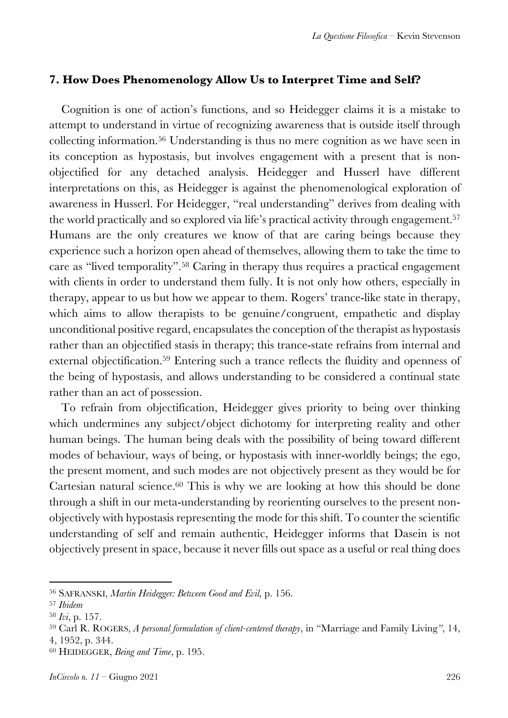# **7. How Does Phenomenology Allow Us to Interpret Time and Self?**

Cognition is one of action's functions, and so Heidegger claims it is a mistake to attempt to understand in virtue of recognizing awareness that is outside itself through collecting information.56 Understanding is thus no mere cognition as we have seen in its conception as hypostasis, but involves engagement with a present that is nonobjectified for any detached analysis. Heidegger and Husserl have different interpretations on this, as Heidegger is against the phenomenological exploration of awareness in Husserl. For Heidegger, "real understanding" derives from dealing with the world practically and so explored via life's practical activity through engagement.<sup>57</sup> Humans are the only creatures we know of that are caring beings because they experience such a horizon open ahead of themselves, allowing them to take the time to care as "lived temporality".58 Caring in therapy thus requires a practical engagement with clients in order to understand them fully. It is not only how others, especially in therapy, appear to us but how we appear to them. Rogers' trance-like state in therapy, which aims to allow therapists to be genuine/congruent, empathetic and display unconditional positive regard, encapsulates the conception of the therapist as hypostasis rather than an objectified stasis in therapy; this trance-state refrains from internal and external objectification.59 Entering such a trance reflects the fluidity and openness of the being of hypostasis, and allows understanding to be considered a continual state rather than an act of possession.

To refrain from objectification, Heidegger gives priority to being over thinking which undermines any subject/object dichotomy for interpreting reality and other human beings. The human being deals with the possibility of being toward different modes of behaviour, ways of being, or hypostasis with inner-worldly beings; the ego, the present moment, and such modes are not objectively present as they would be for Cartesian natural science.60 This is why we are looking at how this should be done through a shift in our meta-understanding by reorienting ourselves to the present nonobjectively with hypostasis representing the mode for this shift. To counter the scientific understanding of self and remain authentic, Heidegger informs that Dasein is not objectively present in space, because it never fills out space as a useful or real thing does

<sup>56</sup> SAFRANSKI, *Martin Heidegger: Between Good and Evil,* p. 156.

<sup>57</sup> *Ibidem*

<sup>58</sup> *Ivi*, p. 157.

<sup>59</sup> Carl R. ROGERS, *A personal formulation of client-centered therapy*, in "Marriage and Family Living*"*, 14, 4, 1952, p. 344.

<sup>60</sup> HEIDEGGER, *Being and Time*, p. 195.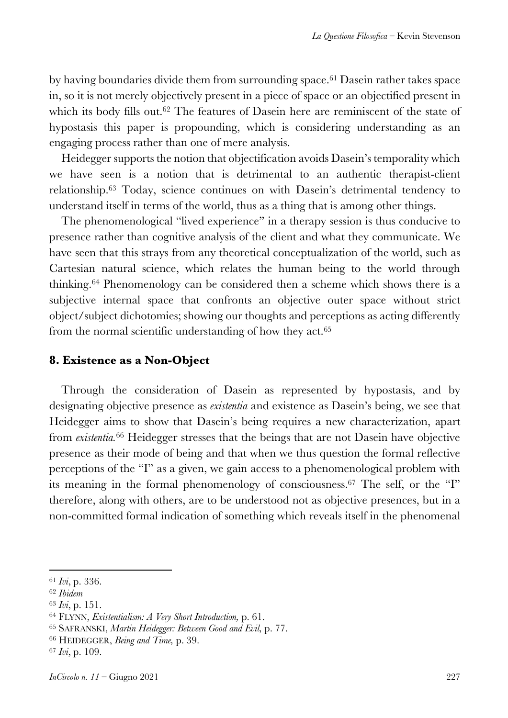by having boundaries divide them from surrounding space.<sup>61</sup> Dasein rather takes space in, so it is not merely objectively present in a piece of space or an objectified present in which its body fills out.<sup>62</sup> The features of Dasein here are reminiscent of the state of hypostasis this paper is propounding, which is considering understanding as an engaging process rather than one of mere analysis.

Heidegger supports the notion that objectification avoids Dasein's temporality which we have seen is a notion that is detrimental to an authentic therapist-client relationship.63 Today, science continues on with Dasein's detrimental tendency to understand itself in terms of the world, thus as a thing that is among other things.

The phenomenological "lived experience" in a therapy session is thus conducive to presence rather than cognitive analysis of the client and what they communicate. We have seen that this strays from any theoretical conceptualization of the world, such as Cartesian natural science, which relates the human being to the world through thinking.64 Phenomenology can be considered then a scheme which shows there is a subjective internal space that confronts an objective outer space without strict object/subject dichotomies; showing our thoughts and perceptions as acting differently from the normal scientific understanding of how they act.65

#### **8. Existence as a Non-Object**

Through the consideration of Dasein as represented by hypostasis, and by designating objective presence as *existentia* and existence as Dasein's being, we see that Heidegger aims to show that Dasein's being requires a new characterization, apart from *existentia.*<sup>66</sup> Heidegger stresses that the beings that are not Dasein have objective presence as their mode of being and that when we thus question the formal reflective perceptions of the "I" as a given, we gain access to a phenomenological problem with its meaning in the formal phenomenology of consciousness.67 The self, or the "I" therefore, along with others, are to be understood not as objective presences, but in a non-committed formal indication of something which reveals itself in the phenomenal

<sup>61</sup> *Ivi*, p. 336.

<sup>62</sup> *Ibidem*

<sup>63</sup> *Ivi*, p. 151.

<sup>64</sup> FLYNN, *Existentialism: A Very Short Introduction,* p. 61.

<sup>65</sup> SAFRANSKI, *Martin Heidegger: Between Good and Evil,* p. 77.

<sup>66</sup> HEIDEGGER, *Being and Time,* p. 39.

<sup>67</sup> *Ivi*, p. 109.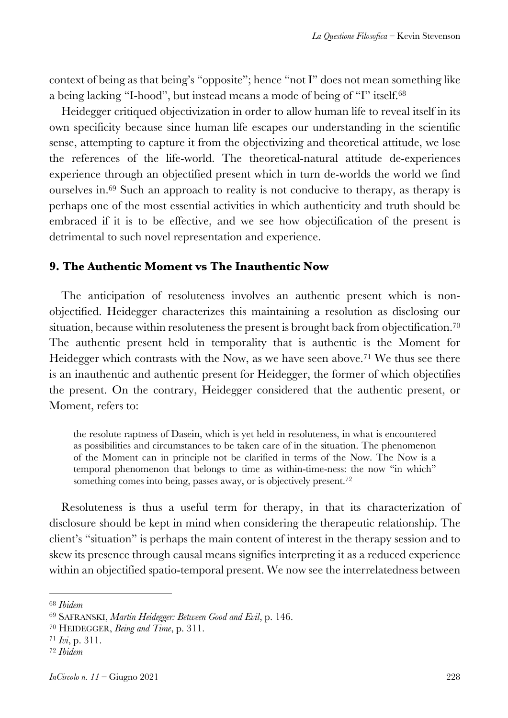context of being as that being's "opposite"; hence "not I" does not mean something like a being lacking "I-hood", but instead means a mode of being of "I" itself.68

Heidegger critiqued objectivization in order to allow human life to reveal itself in its own specificity because since human life escapes our understanding in the scientific sense, attempting to capture it from the objectivizing and theoretical attitude, we lose the references of the life-world. The theoretical-natural attitude de-experiences experience through an objectified present which in turn de-worlds the world we find ourselves in.69 Such an approach to reality is not conducive to therapy, as therapy is perhaps one of the most essential activities in which authenticity and truth should be embraced if it is to be effective, and we see how objectification of the present is detrimental to such novel representation and experience.

#### **9. The Authentic Moment vs The Inauthentic Now**

The anticipation of resoluteness involves an authentic present which is nonobjectified. Heidegger characterizes this maintaining a resolution as disclosing our situation, because within resoluteness the present is brought back from objectification.<sup>70</sup> The authentic present held in temporality that is authentic is the Moment for Heidegger which contrasts with the Now, as we have seen above.<sup>71</sup> We thus see there is an inauthentic and authentic present for Heidegger, the former of which objectifies the present. On the contrary, Heidegger considered that the authentic present, or Moment, refers to:

the resolute raptness of Dasein, which is yet held in resoluteness, in what is encountered as possibilities and circumstances to be taken care of in the situation. The phenomenon of the Moment can in principle not be clarified in terms of the Now. The Now is a temporal phenomenon that belongs to time as within-time-ness: the now "in which" something comes into being, passes away, or is objectively present.<sup>72</sup>

Resoluteness is thus a useful term for therapy, in that its characterization of disclosure should be kept in mind when considering the therapeutic relationship. The client's "situation" is perhaps the main content of interest in the therapy session and to skew its presence through causal means signifies interpreting it as a reduced experience within an objectified spatio-temporal present. We now see the interrelatedness between

<sup>68</sup> *Ibidem*

<sup>69</sup> SAFRANSKI, *Martin Heidegger: Between Good and Evil*, p. 146.

<sup>70</sup> HEIDEGGER, *Being and Time*, p. 311.

<sup>71</sup> *Ivi*, p. 311.

<sup>72</sup> *Ibidem*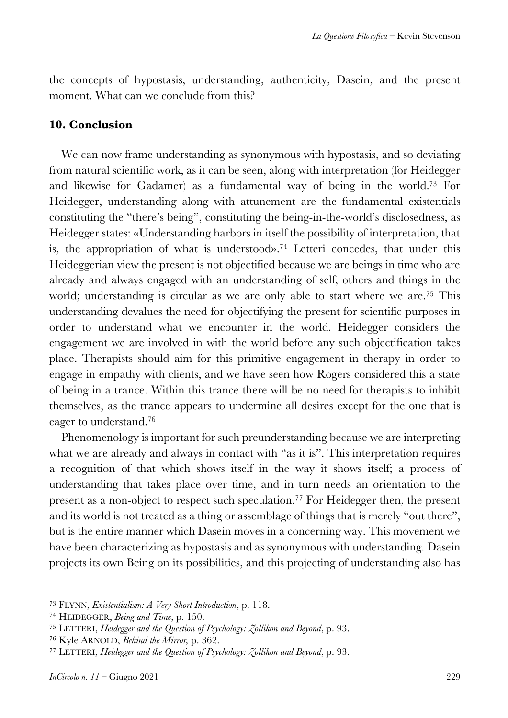the concepts of hypostasis, understanding, authenticity, Dasein, and the present moment. What can we conclude from this?

#### **10. Conclusion**

We can now frame understanding as synonymous with hypostasis, and so deviating from natural scientific work, as it can be seen, along with interpretation (for Heidegger and likewise for Gadamer) as a fundamental way of being in the world.73 For Heidegger, understanding along with attunement are the fundamental existentials constituting the "there's being", constituting the being-in-the-world's disclosedness, as Heidegger states: «Understanding harbors in itself the possibility of interpretation, that is, the appropriation of what is understood».74 Letteri concedes, that under this Heideggerian view the present is not objectified because we are beings in time who are already and always engaged with an understanding of self, others and things in the world; understanding is circular as we are only able to start where we are.75 This understanding devalues the need for objectifying the present for scientific purposes in order to understand what we encounter in the world. Heidegger considers the engagement we are involved in with the world before any such objectification takes place. Therapists should aim for this primitive engagement in therapy in order to engage in empathy with clients, and we have seen how Rogers considered this a state of being in a trance. Within this trance there will be no need for therapists to inhibit themselves, as the trance appears to undermine all desires except for the one that is eager to understand.76

Phenomenology is important for such preunderstanding because we are interpreting what we are already and always in contact with "as it is". This interpretation requires a recognition of that which shows itself in the way it shows itself; a process of understanding that takes place over time, and in turn needs an orientation to the present as a non-object to respect such speculation.<sup>77</sup> For Heidegger then, the present and its world is not treated as a thing or assemblage of things that is merely "out there", but is the entire manner which Dasein moves in a concerning way. This movement we have been characterizing as hypostasis and as synonymous with understanding. Dasein projects its own Being on its possibilities, and this projecting of understanding also has

<sup>73</sup> FLYNN, *Existentialism: A Very Short Introduction*, p. 118.

<sup>74</sup> HEIDEGGER, *Being and Time*, p. 150.

<sup>75</sup> LETTERI, *Heidegger and the Question of Psychology: Zollikon and Beyond*, p. 93.

<sup>76</sup> Kyle ARNOLD, *Behind the Mirror,* p. 362.

<sup>77</sup> LETTERI, *Heidegger and the Question of Psychology: Zollikon and Beyond*, p. 93.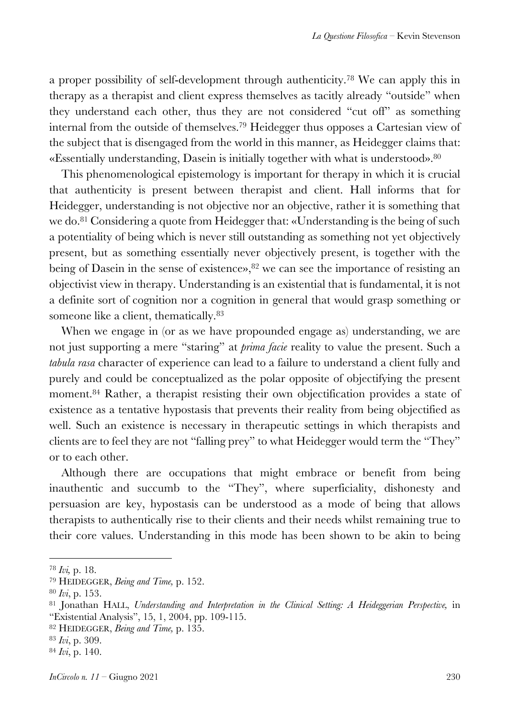a proper possibility of self-development through authenticity.78 We can apply this in therapy as a therapist and client express themselves as tacitly already "outside" when they understand each other, thus they are not considered "cut off" as something internal from the outside of themselves.79 Heidegger thus opposes a Cartesian view of the subject that is disengaged from the world in this manner, as Heidegger claims that: «Essentially understanding, Dasein is initially together with what is understood».80

This phenomenological epistemology is important for therapy in which it is crucial that authenticity is present between therapist and client. Hall informs that for Heidegger, understanding is not objective nor an objective, rather it is something that we do.81 Considering a quote from Heidegger that: «Understanding is the being of such a potentiality of being which is never still outstanding as something not yet objectively present, but as something essentially never objectively present, is together with the being of Dasein in the sense of existence», <sup>82</sup> we can see the importance of resisting an objectivist view in therapy. Understanding is an existential that is fundamental, it is not a definite sort of cognition nor a cognition in general that would grasp something or someone like a client, thematically.<sup>83</sup>

When we engage in (or as we have propounded engage as) understanding, we are not just supporting a mere "staring" at *prima facie* reality to value the present. Such a *tabula rasa* character of experience can lead to a failure to understand a client fully and purely and could be conceptualized as the polar opposite of objectifying the present moment.84 Rather, a therapist resisting their own objectification provides a state of existence as a tentative hypostasis that prevents their reality from being objectified as well. Such an existence is necessary in therapeutic settings in which therapists and clients are to feel they are not "falling prey" to what Heidegger would term the "They" or to each other.

Although there are occupations that might embrace or benefit from being inauthentic and succumb to the "They", where superficiality, dishonesty and persuasion are key, hypostasis can be understood as a mode of being that allows therapists to authentically rise to their clients and their needs whilst remaining true to their core values. Understanding in this mode has been shown to be akin to being

<sup>82</sup> HEIDEGGER, *Being and Time,* p. 135.

<sup>78</sup> *Ivi,* p. 18.

<sup>79</sup> HEIDEGGER, *Being and Time,* p. 152.

<sup>80</sup> *Ivi*, p. 153.

<sup>81</sup> Jonathan HALL, *Understanding and Interpretation in the Clinical Setting: A Heideggerian Perspective,* in "Existential Analysis", 15, 1, 2004, pp. 109-115.

<sup>83</sup> *Ivi*, p. 309.

<sup>84</sup> *Ivi*, p. 140.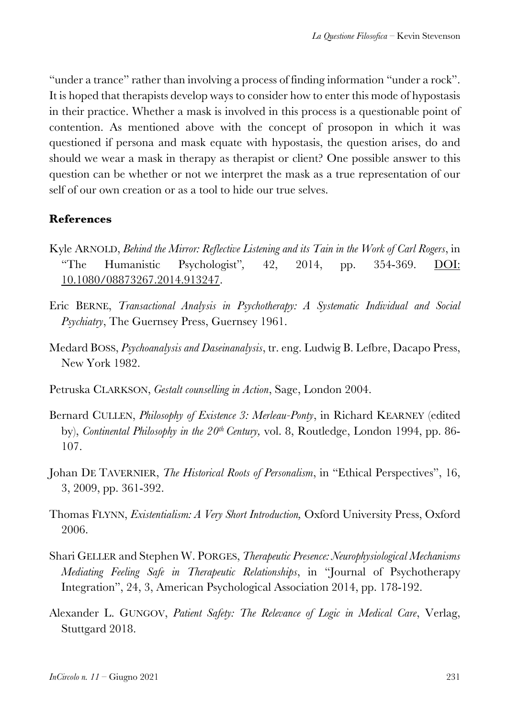"under a trance" rather than involving a process of finding information "under a rock". It is hoped that therapists develop ways to consider how to enter this mode of hypostasis in their practice. Whether a mask is involved in this process is a questionable point of contention. As mentioned above with the concept of prosopon in which it was questioned if persona and mask equate with hypostasis, the question arises, do and should we wear a mask in therapy as therapist or client? One possible answer to this question can be whether or not we interpret the mask as a true representation of our self of our own creation or as a tool to hide our true selves.

# **References**

- Kyle ARNOLD, *Behind the Mirror: Reflective Listening and its Tain in the Work of Carl Rogers*, in "The Humanistic Psychologist"*,* 42, 2014, pp. 354-369. DOI: 10.1080/08873267.2014.913247.
- Eric BERNE, *Transactional Analysis in Psychotherapy: A Systematic Individual and Social Psychiatry*, The Guernsey Press, Guernsey 1961.
- Medard BOSS, *Psychoanalysis and Daseinanalysis*, tr. eng. Ludwig B. Lefbre, Dacapo Press, New York 1982.
- Petruska CLARKSON, *Gestalt counselling in Action*, Sage, London 2004.
- Bernard CULLEN, *Philosophy of Existence 3: Merleau-Ponty*, in Richard KEARNEY (edited by), *Continental Philosophy in the 20th Century,* vol. 8, Routledge, London 1994, pp. 86- 107.
- Johan DE TAVERNIER, *The Historical Roots of Personalism*, in "Ethical Perspectives", 16, 3, 2009, pp. 361-392.
- Thomas FLYNN, *Existentialism: A Very Short Introduction,* Oxford University Press, Oxford 2006.
- Shari GELLER and Stephen W. PORGES, *Therapeutic Presence: Neurophysiological Mechanisms Mediating Feeling Safe in Therapeutic Relationships*, in "Journal of Psychotherapy Integration", 24, 3, American Psychological Association 2014, pp. 178-192.
- Alexander L. GUNGOV, *Patient Safety: The Relevance of Logic in Medical Care*, Verlag, Stuttgard 2018.